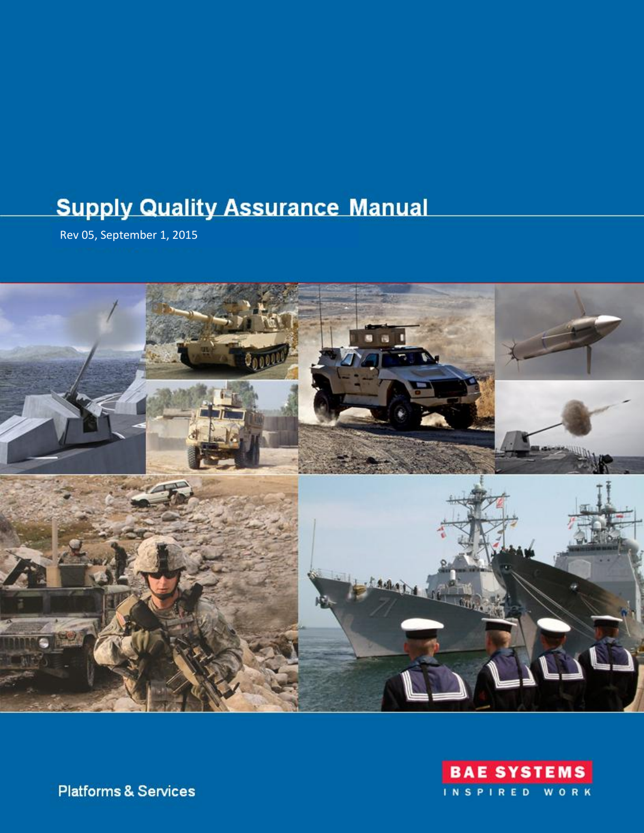# **Supply Quality Assurance Manual**

Rev 05, September 1, 2015





**Platforms & Services**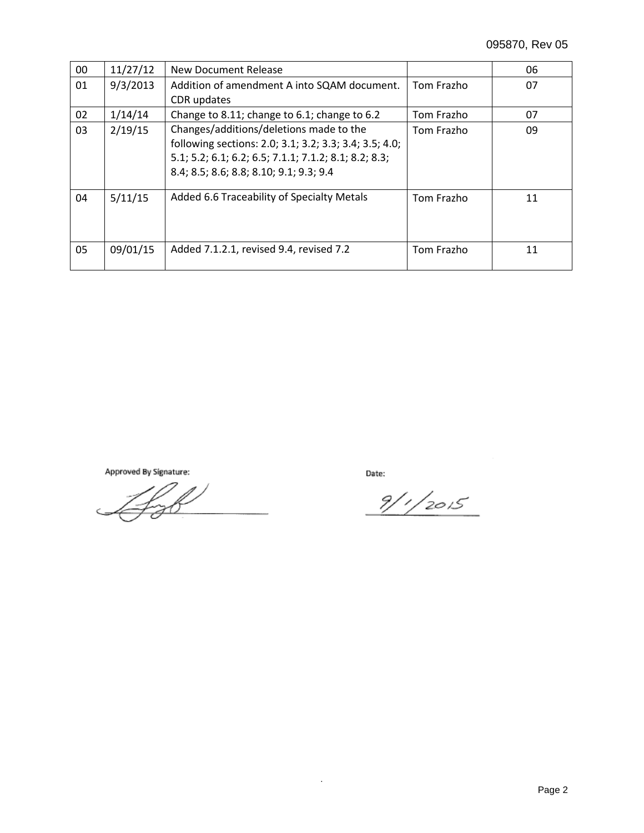| 00 | 11/27/12 | New Document Release                                                                                                                                                                                  |            | 06 |
|----|----------|-------------------------------------------------------------------------------------------------------------------------------------------------------------------------------------------------------|------------|----|
| 01 | 9/3/2013 | Addition of amendment A into SQAM document.                                                                                                                                                           | Tom Frazho | 07 |
|    |          | CDR updates                                                                                                                                                                                           |            |    |
| 02 | 1/14/14  | Change to 8.11; change to 6.1; change to 6.2                                                                                                                                                          | Tom Frazho | 07 |
| 03 | 2/19/15  | Changes/additions/deletions made to the<br>following sections: 2.0; 3.1; 3.2; 3.3; 3.4; 3.5; 4.0;<br>5.1; 5.2; 6.1; 6.2; 6.5; 7.1.1; 7.1.2; 8.1; 8.2; 8.3;<br>8.4; 8.5; 8.6; 8.8; 8.10; 9.1; 9.3; 9.4 | Tom Frazho | 09 |
| 04 | 5/11/15  | Added 6.6 Traceability of Specialty Metals                                                                                                                                                            | Tom Frazho | 11 |
| 05 | 09/01/15 | Added 7.1.2.1, revised 9.4, revised 7.2                                                                                                                                                               | Tom Frazho | 11 |

Approved By Signature:

Date:

 $9/1/2015$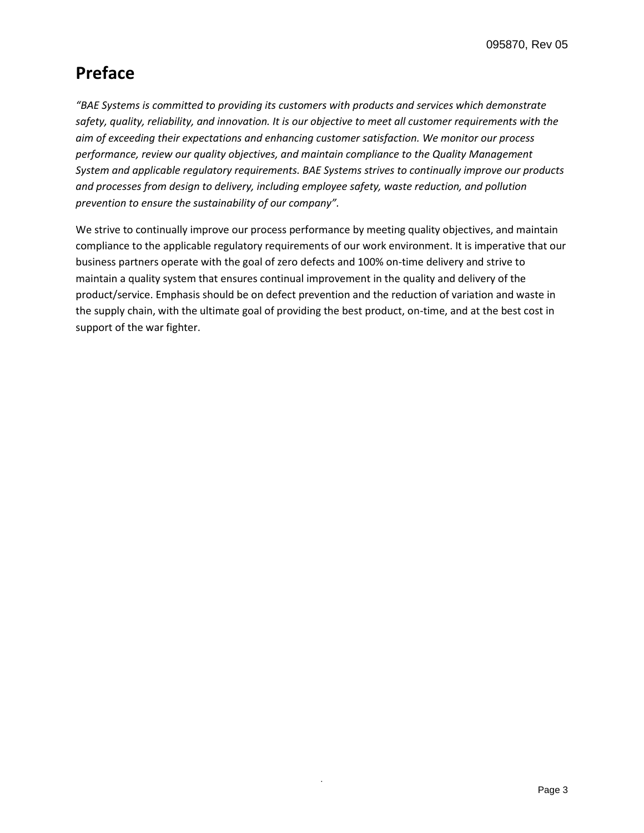# **Preface**

*"BAE Systems is committed to providing its customers with products and services which demonstrate safety, quality, reliability, and innovation. It is our objective to meet all customer requirements with the aim of exceeding their expectations and enhancing customer satisfaction. We monitor our process performance, review our quality objectives, and maintain compliance to the Quality Management System and applicable regulatory requirements. BAE Systems strives to continually improve our products and processes from design to delivery, including employee safety, waste reduction, and pollution prevention to ensure the sustainability of our company".* 

We strive to continually improve our process performance by meeting quality objectives, and maintain compliance to the applicable regulatory requirements of our work environment. It is imperative that our business partners operate with the goal of zero defects and 100% on-time delivery and strive to maintain a quality system that ensures continual improvement in the quality and delivery of the product/service. Emphasis should be on defect prevention and the reduction of variation and waste in the supply chain, with the ultimate goal of providing the best product, on-time, and at the best cost in support of the war fighter.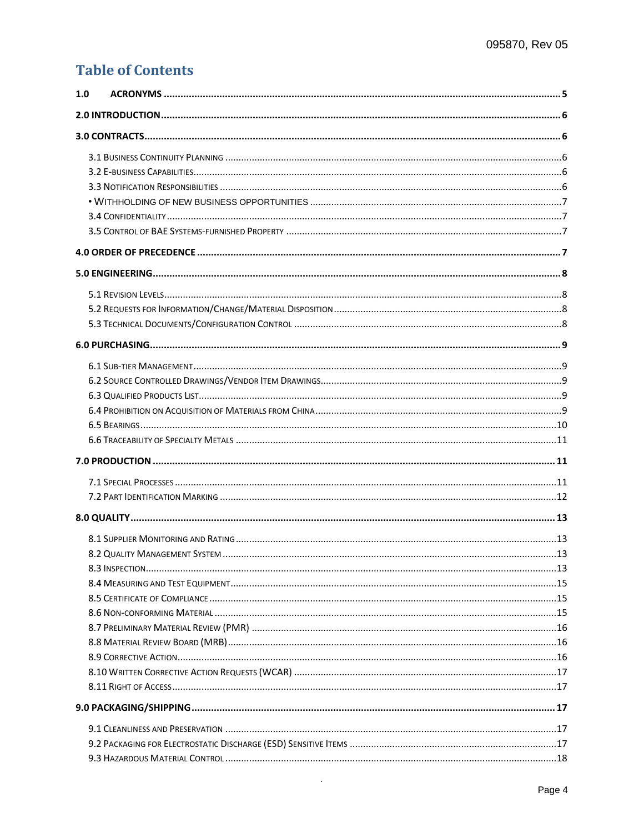# **Table of Contents**

| 1.0 |  |  |  |  |
|-----|--|--|--|--|
|     |  |  |  |  |
|     |  |  |  |  |
|     |  |  |  |  |
|     |  |  |  |  |
|     |  |  |  |  |
|     |  |  |  |  |
|     |  |  |  |  |
|     |  |  |  |  |
|     |  |  |  |  |
|     |  |  |  |  |
|     |  |  |  |  |
|     |  |  |  |  |
|     |  |  |  |  |
|     |  |  |  |  |
|     |  |  |  |  |
|     |  |  |  |  |
|     |  |  |  |  |
|     |  |  |  |  |
|     |  |  |  |  |
|     |  |  |  |  |
|     |  |  |  |  |
|     |  |  |  |  |
|     |  |  |  |  |
|     |  |  |  |  |
|     |  |  |  |  |
|     |  |  |  |  |
|     |  |  |  |  |
|     |  |  |  |  |
|     |  |  |  |  |
|     |  |  |  |  |
|     |  |  |  |  |
|     |  |  |  |  |
|     |  |  |  |  |
|     |  |  |  |  |
|     |  |  |  |  |
|     |  |  |  |  |
|     |  |  |  |  |
|     |  |  |  |  |
|     |  |  |  |  |

 $\mathcal{A}^{\mathcal{A}}$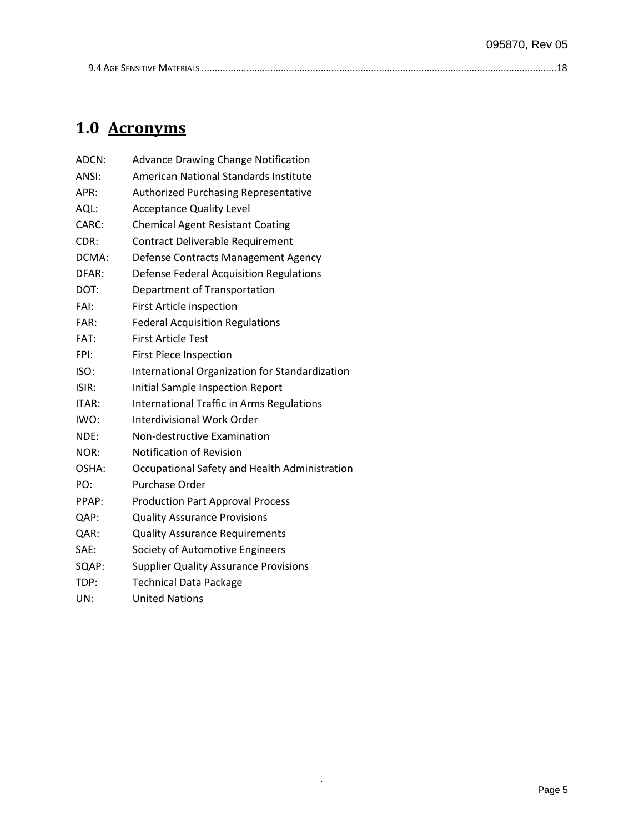<span id="page-4-1"></span>.

# <span id="page-4-0"></span>**1.0 Acronyms**

| ADCN: | <b>Advance Drawing Change Notification</b>     |
|-------|------------------------------------------------|
| ANSI: | American National Standards Institute          |
| APR:  | Authorized Purchasing Representative           |
| AQL:  | <b>Acceptance Quality Level</b>                |
| CARC: | <b>Chemical Agent Resistant Coating</b>        |
| CDR:  | Contract Deliverable Requirement               |
| DCMA: | Defense Contracts Management Agency            |
| DFAR: | Defense Federal Acquisition Regulations        |
| DOT:  | Department of Transportation                   |
| FAI:  | First Article inspection                       |
| FAR:  | <b>Federal Acquisition Regulations</b>         |
| FAT:  | <b>First Article Test</b>                      |
| FPI:  | <b>First Piece Inspection</b>                  |
| ISO:  | International Organization for Standardization |
| ISIR: | Initial Sample Inspection Report               |
| ITAR: | International Traffic in Arms Regulations      |
| IWO:  | Interdivisional Work Order                     |
| NDE:  | Non-destructive Examination                    |
| NOR:  | <b>Notification of Revision</b>                |
| OSHA: | Occupational Safety and Health Administration  |
| PO:   | <b>Purchase Order</b>                          |
| PPAP: | <b>Production Part Approval Process</b>        |
| QAP:  | <b>Quality Assurance Provisions</b>            |
| QAR:  | <b>Quality Assurance Requirements</b>          |
| SAE:  | Society of Automotive Engineers                |
| SQAP: | <b>Supplier Quality Assurance Provisions</b>   |
| TDP:  | <b>Technical Data Package</b>                  |
| UN:   | <b>United Nations</b>                          |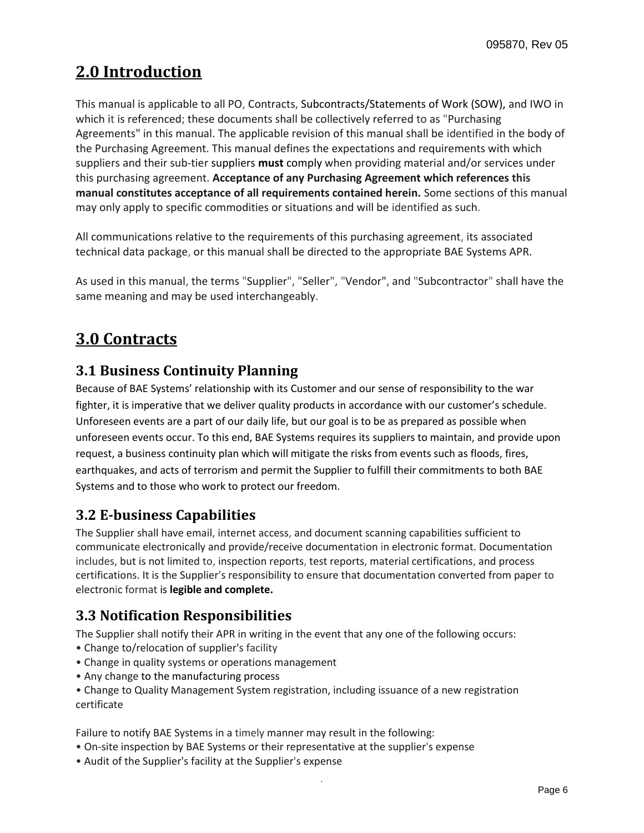# **2.0 Introduction**

This manual is applicable to all PO, Contracts, Subcontracts/Statements of Work (SOW), and IWO in which it is referenced; these documents shall be collectively referred to as "Purchasing Agreements" in this manual. The applicable revision of this manual shall be identified in the body of the Purchasing Agreement. This manual defines the expectations and requirements with which suppliers and their sub-tier suppliers **must** comply when providing material and/or services under this purchasing agreement. **Acceptance of any Purchasing Agreement which references this manual constitutes acceptance of all requirements contained herein.** Some sections of this manual may only apply to specific commodities or situations and will be identified as such.

All communications relative to the requirements of this purchasing agreement, its associated technical data package, or this manual shall be directed to the appropriate BAE Systems APR.

As used in this manual, the terms "Supplier", "Seller", "Vendor", and "Subcontractor" shall have the same meaning and may be used interchangeably.

# <span id="page-5-0"></span>**3.0 Contracts**

### <span id="page-5-1"></span>**3.1 Business Continuity Planning**

Because of BAE Systems' relationship with its Customer and our sense of responsibility to the war fighter, it is imperative that we deliver quality products in accordance with our customer's schedule. Unforeseen events are a part of our daily life, but our goal is to be as prepared as possible when unforeseen events occur. To this end, BAE Systems requires its suppliers to maintain, and provide upon request, a business continuity plan which will mitigate the risks from events such as floods, fires, earthquakes, and acts of terrorism and permit the Supplier to fulfill their commitments to both BAE Systems and to those who work to protect our freedom.

### <span id="page-5-2"></span>**3.2 E-business Capabilities**

The Supplier shall have email, internet access, and document scanning capabilities sufficient to communicate electronically and provide/receive documentation in electronic format. Documentation includes, but is not limited to, inspection reports, test reports, material certifications, and process certifications. It is the Supplier's responsibility to ensure that documentation converted from paper to electronic format is **legible and complete.**

# <span id="page-5-3"></span>**3.3 Notification Responsibilities**

The Supplier shall notify their APR in writing in the event that any one of the following occurs:

- Change to/relocation of supplier's facility
- Change in quality systems or operations management
- Any change to the manufacturing process

• Change to Quality Management System registration, including issuance of a new registration certificate

.

Failure to notify BAE Systems in a timely manner may result in the following:

- On-site inspection by BAE Systems or their representative at the supplier's expense
- Audit of the Supplier's facility at the Supplier's expense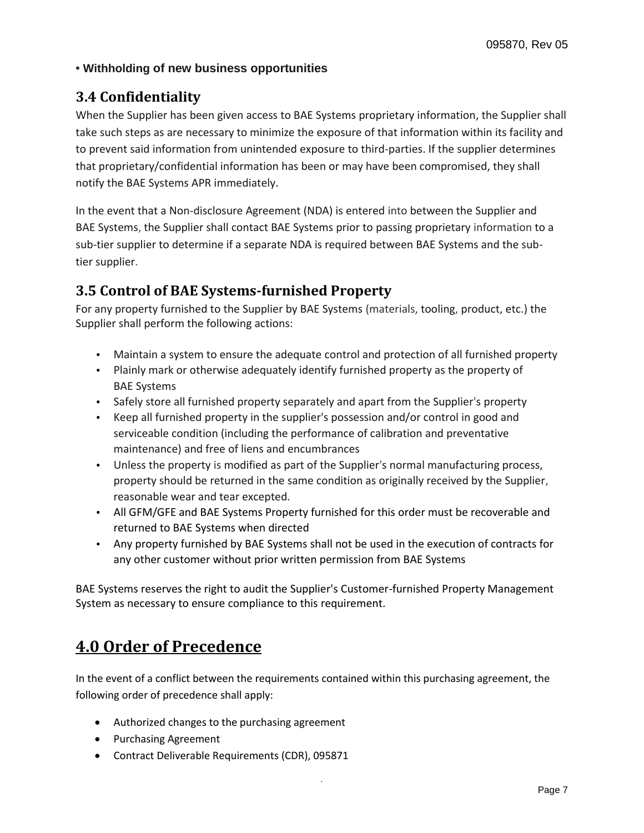#### <span id="page-6-0"></span>**• Withholding of new business opportunities**

### <span id="page-6-1"></span>**3.4 Confidentiality**

When the Supplier has been given access to BAE Systems proprietary information, the Supplier shall take such steps as are necessary to minimize the exposure of that information within its facility and to prevent said information from unintended exposure to third-parties. If the supplier determines that proprietary/confidential information has been or may have been compromised, they shall notify the BAE Systems APR immediately.

In the event that a Non-disclosure Agreement (NDA) is entered into between the Supplier and BAE Systems, the Supplier shall contact BAE Systems prior to passing proprietary information to a sub-tier supplier to determine if a separate NDA is required between BAE Systems and the subtier supplier.

### <span id="page-6-2"></span>**3.5 Control of BAE Systems-furnished Property**

For any property furnished to the Supplier by BAE Systems (materials, tooling, product, etc.) the Supplier shall perform the following actions:

- Maintain a system to ensure the adequate control and protection of all furnished property
- Plainly mark or otherwise adequately identify furnished property as the property of BAE Systems
- Safely store all furnished property separately and apart from the Supplier's property
- Keep all furnished property in the supplier's possession and/or control in good and serviceable condition (including the performance of calibration and preventative maintenance) and free of liens and encumbrances
- Unless the property is modified as part of the Supplier's normal manufacturing process, property should be returned in the same condition as originally received by the Supplier, reasonable wear and tear excepted.
- All GFM/GFE and BAE Systems Property furnished for this order must be recoverable and returned to BAE Systems when directed
- Any property furnished by BAE Systems shall not be used in the execution of contracts for any other customer without prior written permission from BAE Systems

BAE Systems reserves the right to audit the Supplier's Customer-furnished Property Management System as necessary to ensure compliance to this requirement.

# <span id="page-6-3"></span>**4.0 Order of Precedence**

In the event of a conflict between the requirements contained within this purchasing agreement, the following order of precedence shall apply:

- Authorized changes to the purchasing agreement
- Purchasing Agreement
- Contract Deliverable Requirements (CDR), 095871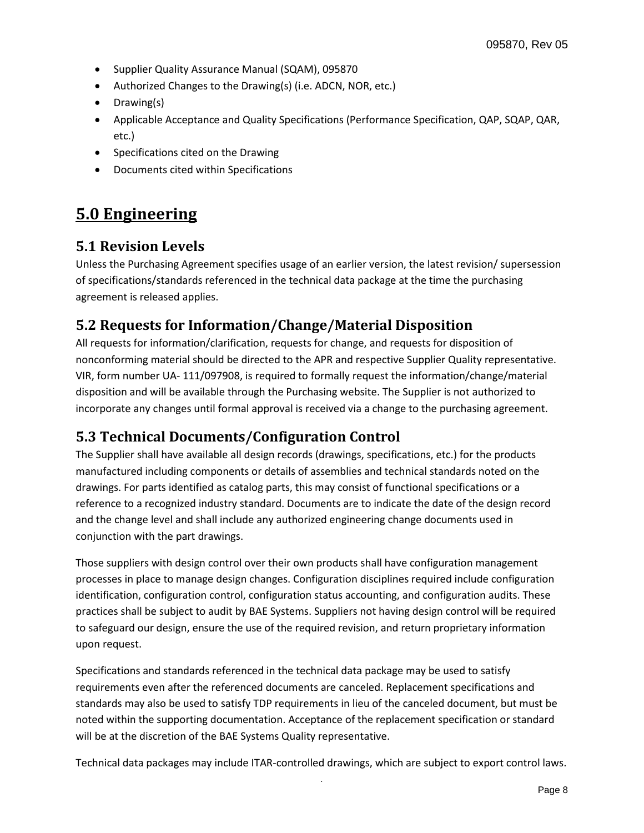- Supplier Quality Assurance Manual (SQAM), 095870
- Authorized Changes to the Drawing(s) (i.e. ADCN, NOR, etc.)
- Drawing(s)
- Applicable Acceptance and Quality Specifications (Performance Specification, QAP, SQAP, QAR, etc.)
- Specifications cited on the Drawing
- Documents cited within Specifications

# <span id="page-7-0"></span>**5.0 Engineering**

#### <span id="page-7-1"></span>**5.1 Revision Levels**

Unless the Purchasing Agreement specifies usage of an earlier version, the latest revision/ supersession of specifications/standards referenced in the technical data package at the time the purchasing agreement is released applies.

### <span id="page-7-2"></span>**5.2 Requests for Information/Change/Material Disposition**

All requests for information/clarification, requests for change, and requests for disposition of nonconforming material should be directed to the APR and respective Supplier Quality representative. VIR, form number UA- 111/097908, is required to formally request the information/change/material disposition and will be available through the Purchasing website. The Supplier is not authorized to incorporate any changes until formal approval is received via a change to the purchasing agreement.

### <span id="page-7-3"></span>**5.3 Technical Documents/Configuration Control**

The Supplier shall have available all design records (drawings, specifications, etc.) for the products manufactured including components or details of assemblies and technical standards noted on the drawings. For parts identified as catalog parts, this may consist of functional specifications or a reference to a recognized industry standard. Documents are to indicate the date of the design record and the change level and shall include any authorized engineering change documents used in conjunction with the part drawings.

Those suppliers with design control over their own products shall have configuration management processes in place to manage design changes. Configuration disciplines required include configuration identification, configuration control, configuration status accounting, and configuration audits. These practices shall be subject to audit by BAE Systems. Suppliers not having design control will be required to safeguard our design, ensure the use of the required revision, and return proprietary information upon request.

Specifications and standards referenced in the technical data package may be used to satisfy requirements even after the referenced documents are canceled. Replacement specifications and standards may also be used to satisfy TDP requirements in lieu of the canceled document, but must be noted within the supporting documentation. Acceptance of the replacement specification or standard will be at the discretion of the BAE Systems Quality representative.

. Technical data packages may include ITAR-controlled drawings, which are subject to export control laws.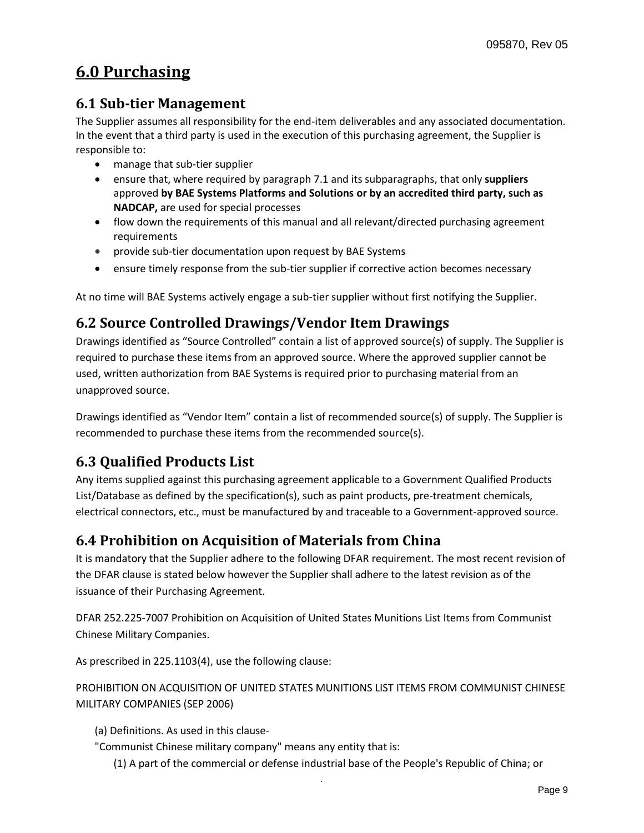# <span id="page-8-0"></span>**6.0 Purchasing**

### <span id="page-8-1"></span>**6.1 Sub-tier Management**

The Supplier assumes all responsibility for the end-item deliverables and any associated documentation. In the event that a third party is used in the execution of this purchasing agreement, the Supplier is responsible to:

- manage that sub-tier supplier
- ensure that, where required by paragraph 7.1 and its subparagraphs, that only **suppliers**  approved **by BAE Systems Platforms and Solutions or by an accredited third party, such as NADCAP,** are used for special processes
- flow down the requirements of this manual and all relevant/directed purchasing agreement requirements
- provide sub-tier documentation upon request by BAE Systems
- ensure timely response from the sub-tier supplier if corrective action becomes necessary

At no time will BAE Systems actively engage a sub-tier supplier without first notifying the Supplier.

### <span id="page-8-2"></span>**6.2 Source Controlled Drawings/Vendor Item Drawings**

Drawings identified as "Source Controlled" contain a list of approved source(s) of supply. The Supplier is required to purchase these items from an approved source. Where the approved supplier cannot be used, written authorization from BAE Systems is required prior to purchasing material from an unapproved source.

Drawings identified as "Vendor Item" contain a list of recommended source(s) of supply. The Supplier is recommended to purchase these items from the recommended source(s).

# <span id="page-8-3"></span>**6.3 Qualified Products List**

Any items supplied against this purchasing agreement applicable to a Government Qualified Products List/Database as defined by the specification(s), such as paint products, pre-treatment chemicals, electrical connectors, etc., must be manufactured by and traceable to a Government-approved source.

#### <span id="page-8-4"></span>**6.4 Prohibition on Acquisition of Materials from China**

It is mandatory that the Supplier adhere to the following DFAR requirement. The most recent revision of the DFAR clause is stated below however the Supplier shall adhere to the latest revision as of the issuance of their Purchasing Agreement.

DFAR 252.225-7007 Prohibition on Acquisition of United States Munitions List Items from Communist Chinese Military Companies.

As prescribed in 225.1103(4), use the following clause:

PROHIBITION ON ACQUISITION OF UNITED STATES MUNITIONS LIST ITEMS FROM COMMUNIST CHINESE MILITARY COMPANIES (SEP 2006)

(a) Definitions. As used in this clause-

"Communist Chinese military company" means any entity that is:

(1) A part of the commercial or defense industrial base of the People's Republic of China; or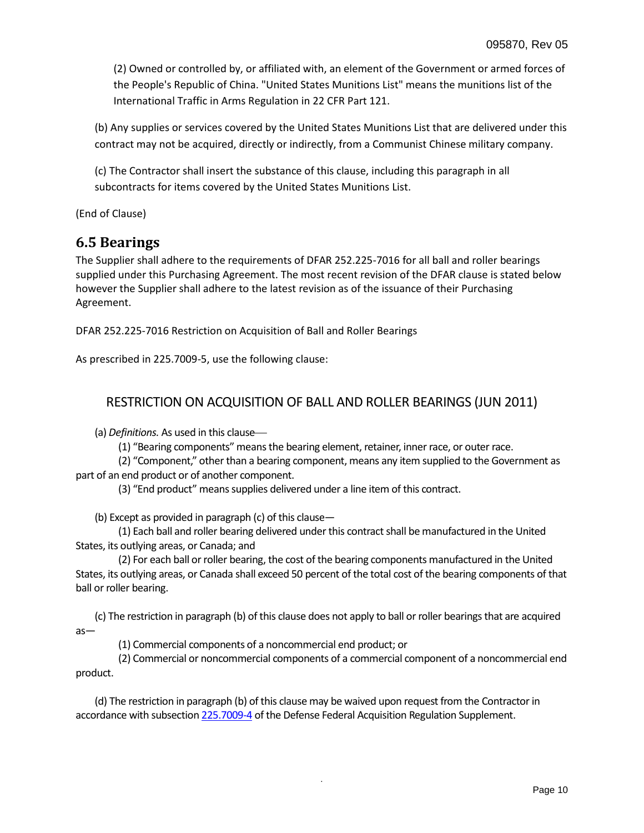(2) Owned or controlled by, or affiliated with, an element of the Government or armed forces of the People's Republic of China. "United States Munitions List" means the munitions list of the International Traffic in Arms Regulation in 22 CFR Part 121.

(b) Any supplies or services covered by the United States Munitions List that are delivered under this contract may not be acquired, directly or indirectly, from a Communist Chinese military company.

(c) The Contractor shall insert the substance of this clause, including this paragraph in all subcontracts for items covered by the United States Munitions List.

(End of Clause)

### <span id="page-9-0"></span>**6.5 Bearings**

The Supplier shall adhere to the requirements of DFAR 252.225-7016 for all ball and roller bearings supplied under this Purchasing Agreement. The most recent revision of the DFAR clause is stated below however the Supplier shall adhere to the latest revision as of the issuance of their Purchasing Agreement.

DFAR 252.225-7016 Restriction on Acquisition of Ball and Roller Bearings

As prescribed in 225.7009-5, use the following clause:

#### RESTRICTION ON ACQUISITION OF BALL AND ROLLER BEARINGS (JUN 2011)

(a) *Definitions.* As used in this clause

(1) "Bearing components" means the bearing element, retainer, inner race, or outer race.

(2) "Component," other than a bearing component, means any item supplied to the Government as part of an end product or of another component.

(3) "End product" means supplies delivered under a line item of this contract.

(b) Except as provided in paragraph (c) of this clause—

(1) Each ball and roller bearing delivered under this contract shall be manufactured in the United States, its outlying areas, or Canada; and

(2) For each ball or roller bearing, the cost of the bearing components manufactured in the United States, its outlying areas, or Canada shall exceed 50 percent of the total cost of the bearing components of that ball or roller bearing.

(c) The restriction in paragraph (b) of this clause does not apply to ball or roller bearings that are acquired as—

(1) Commercial components of a noncommercial end product; or

(2) Commercial or noncommercial components of a commercial component of a noncommercial end product.

.

(d) The restriction in paragraph (b) of this clause may be waived upon request from the Contractor in accordance with subsectio[n 225.7009](http://www.acq.osd.mil/dpap/dars/dfars/html/current/225_70.htm#225.7009-4)-4 of the Defense Federal Acquisition Regulation Supplement.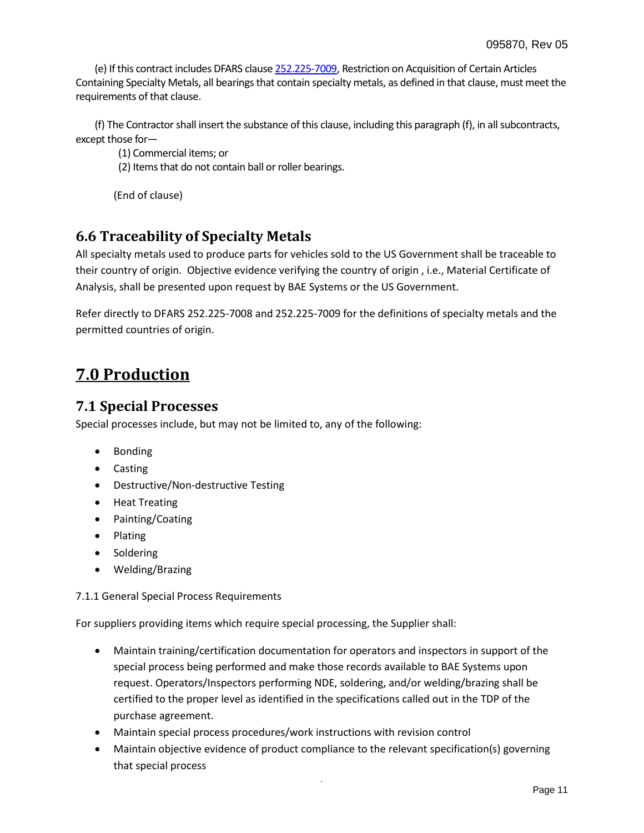(e) If this contract includes DFARS claus[e 252.225](http://www.acq.osd.mil/dpap/dars/dfars/html/current/252225.htm#252.225-7009)-7009, Restriction on Acquisition of Certain Articles Containing Specialty Metals, all bearings that contain specialty metals, as defined in that clause, must meet the requirements of that clause.

(f) The Contractor shall insert the substance of this clause, including this paragraph (f), in all subcontracts, except those for—

(1) Commercial items; or

(2) Items that do not contain ball or roller bearings.

(End of clause)

#### <span id="page-10-0"></span>**6.6 Traceability of Specialty Metals**

All specialty metals used to produce parts for vehicles sold to the US Government shall be traceable to their country of origin. Objective evidence verifying the country of origin , i.e., Material Certificate of Analysis, shall be presented upon request by BAE Systems or the US Government.

Refer directly to DFARS 252.225-7008 and 252.225-7009 for the definitions of specialty metals and the permitted countries of origin.

# <span id="page-10-1"></span>**7.0 Production**

#### <span id="page-10-2"></span>**7.1 Special Processes**

Special processes include, but may not be limited to, any of the following:

- Bonding
- Casting
- Destructive/Non-destructive Testing
- Heat Treating
- Painting/Coating
- Plating
- Soldering
- Welding/Brazing

7.1.1 General Special Process Requirements

For suppliers providing items which require special processing, the Supplier shall:

- Maintain training/certification documentation for operators and inspectors in support of the special process being performed and make those records available to BAE Systems upon request. Operators/Inspectors performing NDE, soldering, and/or welding/brazing shall be certified to the proper level as identified in the specifications called out in the TDP of the purchase agreement.
- Maintain special process procedures/work instructions with revision control
- Maintain objective evidence of product compliance to the relevant specification(s) governing that special process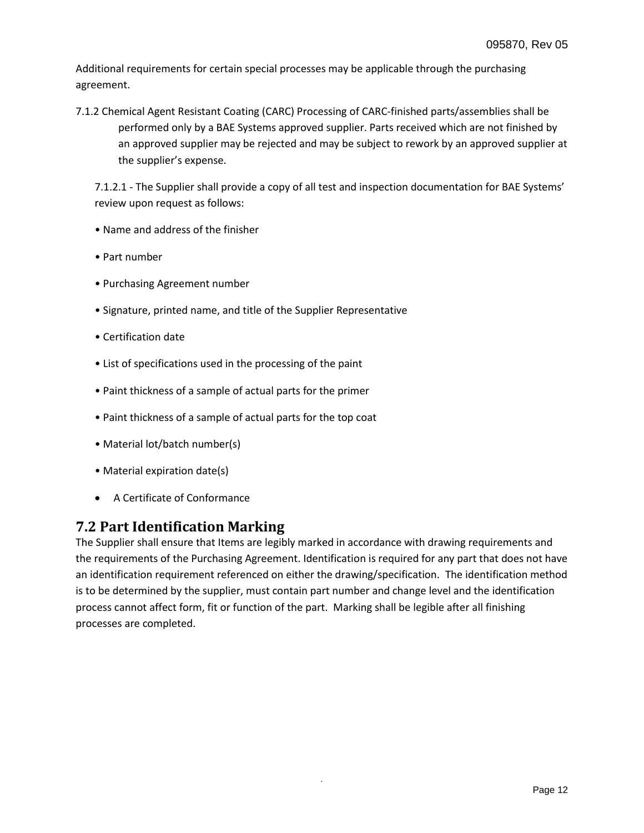Additional requirements for certain special processes may be applicable through the purchasing agreement.

7.1.2 Chemical Agent Resistant Coating (CARC) Processing of CARC-finished parts/assemblies shall be performed only by a BAE Systems approved supplier. Parts received which are not finished by an approved supplier may be rejected and may be subject to rework by an approved supplier at the supplier's expense.

7.1.2.1 - The Supplier shall provide a copy of all test and inspection documentation for BAE Systems' review upon request as follows:

- Name and address of the finisher
- Part number
- Purchasing Agreement number
- Signature, printed name, and title of the Supplier Representative
- Certification date
- List of specifications used in the processing of the paint
- Paint thickness of a sample of actual parts for the primer
- Paint thickness of a sample of actual parts for the top coat
- Material lot/batch number(s)
- Material expiration date(s)
- A Certificate of Conformance

### <span id="page-11-0"></span>**7.2 Part Identification Marking**

<span id="page-11-1"></span>The Supplier shall ensure that Items are legibly marked in accordance with drawing requirements and the requirements of the Purchasing Agreement. Identification is required for any part that does not have an identification requirement referenced on either the drawing/specification. The identification method is to be determined by the supplier, must contain part number and change level and the identification process cannot affect form, fit or function of the part. Marking shall be legible after all finishing processes are completed.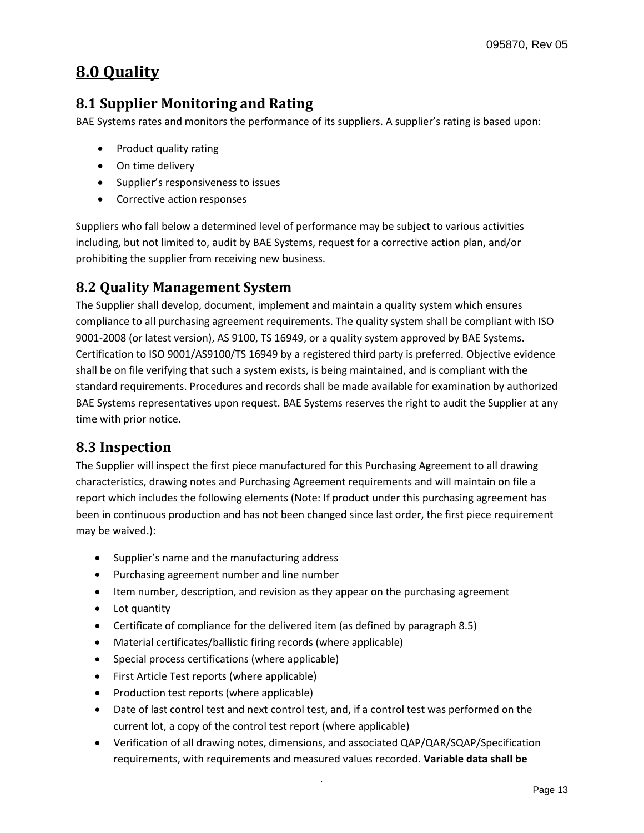# **8.0 Quality**

# <span id="page-12-0"></span>**8.1 Supplier Monitoring and Rating**

BAE Systems rates and monitors the performance of its suppliers. A supplier's rating is based upon:

- Product quality rating
- On time delivery
- Supplier's responsiveness to issues
- Corrective action responses

Suppliers who fall below a determined level of performance may be subject to various activities including, but not limited to, audit by BAE Systems, request for a corrective action plan, and/or prohibiting the supplier from receiving new business.

#### <span id="page-12-1"></span>**8.2 Quality Management System**

The Supplier shall develop, document, implement and maintain a quality system which ensures compliance to all purchasing agreement requirements. The quality system shall be compliant with ISO 9001-2008 (or latest version), AS 9100, TS 16949, or a quality system approved by BAE Systems. Certification to ISO 9001/AS9100/TS 16949 by a registered third party is preferred. Objective evidence shall be on file verifying that such a system exists, is being maintained, and is compliant with the standard requirements. Procedures and records shall be made available for examination by authorized BAE Systems representatives upon request. BAE Systems reserves the right to audit the Supplier at any time with prior notice.

#### <span id="page-12-2"></span>**8.3 Inspection**

The Supplier will inspect the first piece manufactured for this Purchasing Agreement to all drawing characteristics, drawing notes and Purchasing Agreement requirements and will maintain on file a report which includes the following elements (Note: If product under this purchasing agreement has been in continuous production and has not been changed since last order, the first piece requirement may be waived.):

- Supplier's name and the manufacturing address
- Purchasing agreement number and line number
- Item number, description, and revision as they appear on the purchasing agreement
- Lot quantity
- Certificate of compliance for the delivered item (as defined by paragraph 8.5)
- Material certificates/ballistic firing records (where applicable)
- Special process certifications (where applicable)
- First Article Test reports (where applicable)
- Production test reports (where applicable)
- Date of last control test and next control test, and, if a control test was performed on the current lot, a copy of the control test report (where applicable)
- Verification of all drawing notes, dimensions, and associated QAP/QAR/SQAP/Specification requirements, with requirements and measured values recorded. **Variable data shall be**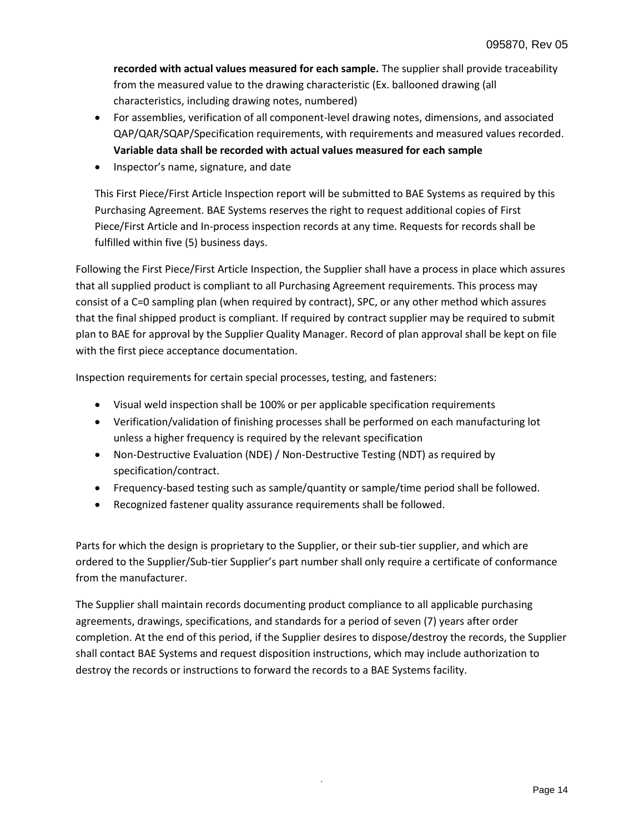**recorded with actual values measured for each sample.** The supplier shall provide traceability from the measured value to the drawing characteristic (Ex. ballooned drawing (all characteristics, including drawing notes, numbered)

- For assemblies, verification of all component-level drawing notes, dimensions, and associated QAP/QAR/SQAP/Specification requirements, with requirements and measured values recorded. **Variable data shall be recorded with actual values measured for each sample**
- Inspector's name, signature, and date

This First Piece/First Article Inspection report will be submitted to BAE Systems as required by this Purchasing Agreement. BAE Systems reserves the right to request additional copies of First Piece/First Article and In-process inspection records at any time. Requests for records shall be fulfilled within five (5) business days.

Following the First Piece/First Article Inspection, the Supplier shall have a process in place which assures that all supplied product is compliant to all Purchasing Agreement requirements. This process may consist of a C=0 sampling plan (when required by contract), SPC, or any other method which assures that the final shipped product is compliant. If required by contract supplier may be required to submit plan to BAE for approval by the Supplier Quality Manager. Record of plan approval shall be kept on file with the first piece acceptance documentation.

Inspection requirements for certain special processes, testing, and fasteners:

- Visual weld inspection shall be 100% or per applicable specification requirements
- Verification/validation of finishing processes shall be performed on each manufacturing lot unless a higher frequency is required by the relevant specification
- Non-Destructive Evaluation (NDE) / Non-Destructive Testing (NDT) as required by specification/contract.
- Frequency-based testing such as sample/quantity or sample/time period shall be followed.
- Recognized fastener quality assurance requirements shall be followed.

Parts for which the design is proprietary to the Supplier, or their sub-tier supplier, and which are ordered to the Supplier/Sub-tier Supplier's part number shall only require a certificate of conformance from the manufacturer.

<span id="page-13-0"></span>The Supplier shall maintain records documenting product compliance to all applicable purchasing agreements, drawings, specifications, and standards for a period of seven (7) years after order completion. At the end of this period, if the Supplier desires to dispose/destroy the records, the Supplier shall contact BAE Systems and request disposition instructions, which may include authorization to destroy the records or instructions to forward the records to a BAE Systems facility.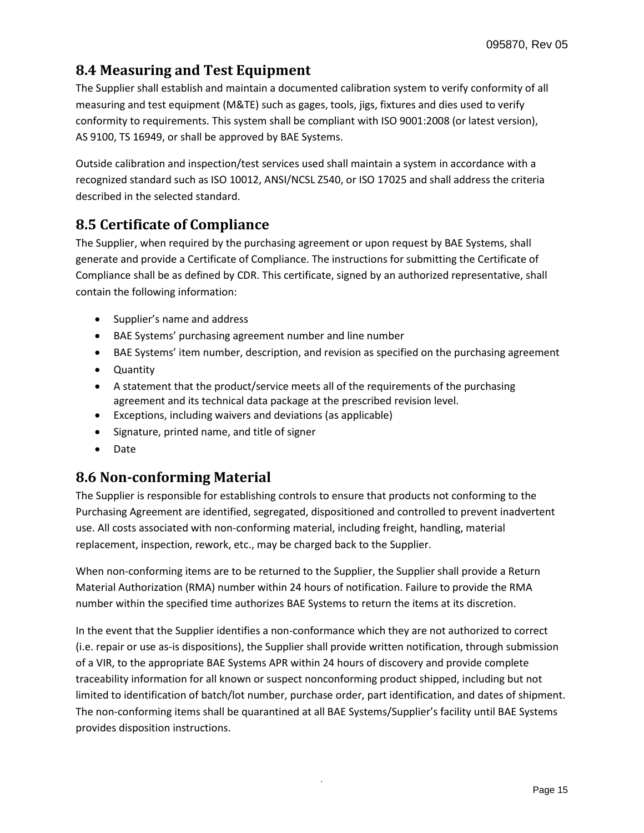# **8.4 Measuring and Test Equipment**

The Supplier shall establish and maintain a documented calibration system to verify conformity of all measuring and test equipment (M&TE) such as gages, tools, jigs, fixtures and dies used to verify conformity to requirements. This system shall be compliant with ISO 9001:2008 (or latest version), AS 9100, TS 16949, or shall be approved by BAE Systems.

Outside calibration and inspection/test services used shall maintain a system in accordance with a recognized standard such as ISO 10012, ANSI/NCSL Z540, or ISO 17025 and shall address the criteria described in the selected standard.

### <span id="page-14-0"></span>**8.5 Certificate of Compliance**

The Supplier, when required by the purchasing agreement or upon request by BAE Systems, shall generate and provide a Certificate of Compliance. The instructions for submitting the Certificate of Compliance shall be as defined by CDR. This certificate, signed by an authorized representative, shall contain the following information:

- Supplier's name and address
- BAE Systems' purchasing agreement number and line number
- BAE Systems' item number, description, and revision as specified on the purchasing agreement
- Quantity
- A statement that the product/service meets all of the requirements of the purchasing agreement and its technical data package at the prescribed revision level.
- Exceptions, including waivers and deviations (as applicable)
- Signature, printed name, and title of signer
- Date

### <span id="page-14-1"></span>**8.6 Non-conforming Material**

The Supplier is responsible for establishing controls to ensure that products not conforming to the Purchasing Agreement are identified, segregated, dispositioned and controlled to prevent inadvertent use. All costs associated with non-conforming material, including freight, handling, material replacement, inspection, rework, etc., may be charged back to the Supplier.

When non-conforming items are to be returned to the Supplier, the Supplier shall provide a Return Material Authorization (RMA) number within 24 hours of notification. Failure to provide the RMA number within the specified time authorizes BAE Systems to return the items at its discretion.

In the event that the Supplier identifies a non-conformance which they are not authorized to correct (i.e. repair or use as-is dispositions), the Supplier shall provide written notification, through submission of a VIR, to the appropriate BAE Systems APR within 24 hours of discovery and provide complete traceability information for all known or suspect nonconforming product shipped, including but not limited to identification of batch/lot number, purchase order, part identification, and dates of shipment. The non-conforming items shall be quarantined at all BAE Systems/Supplier's facility until BAE Systems provides disposition instructions.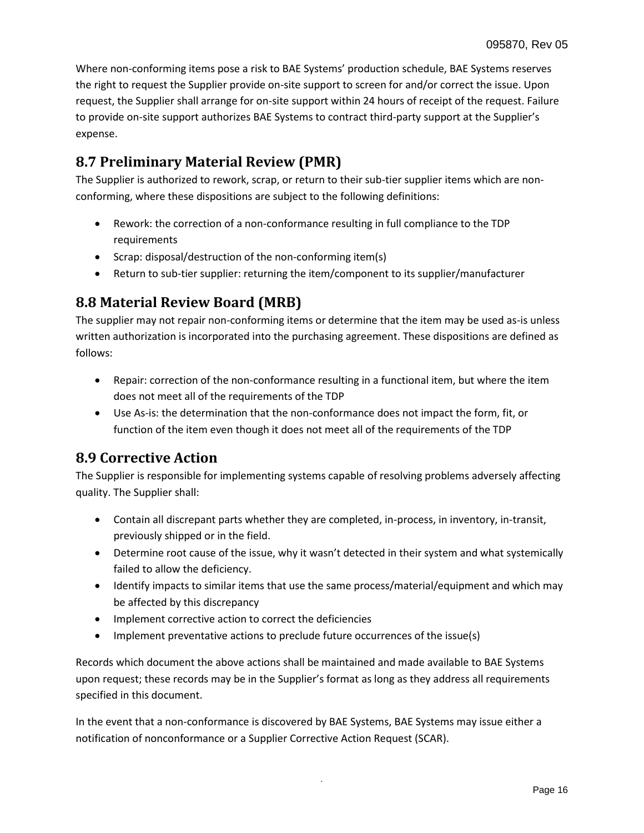Where non-conforming items pose a risk to BAE Systems' production schedule, BAE Systems reserves the right to request the Supplier provide on-site support to screen for and/or correct the issue. Upon request, the Supplier shall arrange for on-site support within 24 hours of receipt of the request. Failure to provide on-site support authorizes BAE Systems to contract third-party support at the Supplier's expense.

### <span id="page-15-0"></span>**8.7 Preliminary Material Review (PMR)**

The Supplier is authorized to rework, scrap, or return to their sub-tier supplier items which are nonconforming, where these dispositions are subject to the following definitions:

- Rework: the correction of a non-conformance resulting in full compliance to the TDP requirements
- Scrap: disposal/destruction of the non-conforming item(s)
- Return to sub-tier supplier: returning the item/component to its supplier/manufacturer

# <span id="page-15-1"></span>**8.8 Material Review Board (MRB)**

The supplier may not repair non-conforming items or determine that the item may be used as-is unless written authorization is incorporated into the purchasing agreement. These dispositions are defined as follows:

- Repair: correction of the non-conformance resulting in a functional item, but where the item does not meet all of the requirements of the TDP
- Use As-is: the determination that the non-conformance does not impact the form, fit, or function of the item even though it does not meet all of the requirements of the TDP

### <span id="page-15-2"></span>**8.9 Corrective Action**

The Supplier is responsible for implementing systems capable of resolving problems adversely affecting quality. The Supplier shall:

- Contain all discrepant parts whether they are completed, in-process, in inventory, in-transit, previously shipped or in the field.
- Determine root cause of the issue, why it wasn't detected in their system and what systemically failed to allow the deficiency.
- Identify impacts to similar items that use the same process/material/equipment and which may be affected by this discrepancy
- Implement corrective action to correct the deficiencies
- Implement preventative actions to preclude future occurrences of the issue(s)

Records which document the above actions shall be maintained and made available to BAE Systems upon request; these records may be in the Supplier's format as long as they address all requirements specified in this document.

In the event that a non-conformance is discovered by BAE Systems, BAE Systems may issue either a notification of nonconformance or a Supplier Corrective Action Request (SCAR).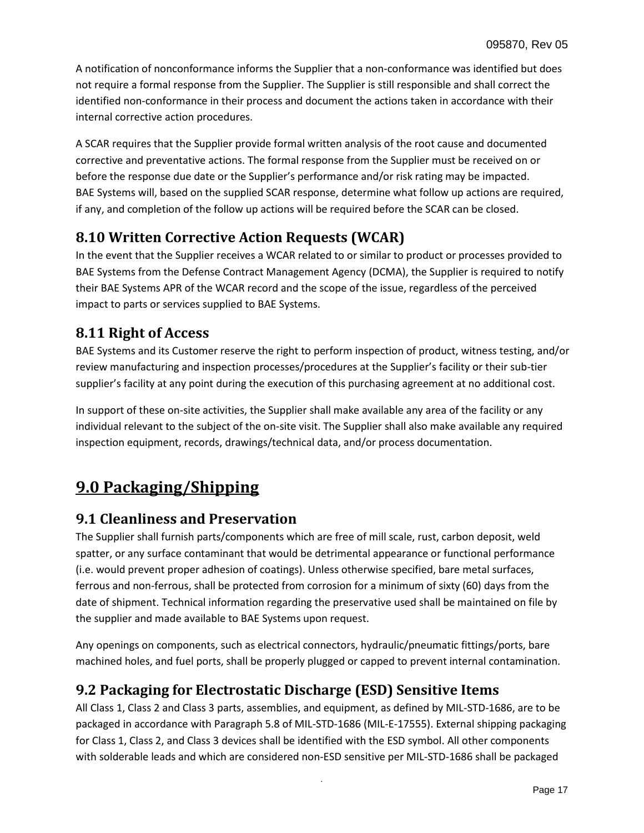A notification of nonconformance informs the Supplier that a non-conformance was identified but does not require a formal response from the Supplier. The Supplier is still responsible and shall correct the identified non-conformance in their process and document the actions taken in accordance with their internal corrective action procedures.

A SCAR requires that the Supplier provide formal written analysis of the root cause and documented corrective and preventative actions. The formal response from the Supplier must be received on or before the response due date or the Supplier's performance and/or risk rating may be impacted. BAE Systems will, based on the supplied SCAR response, determine what follow up actions are required, if any, and completion of the follow up actions will be required before the SCAR can be closed.

### <span id="page-16-0"></span>**8.10 Written Corrective Action Requests (WCAR)**

In the event that the Supplier receives a WCAR related to or similar to product or processes provided to BAE Systems from the Defense Contract Management Agency (DCMA), the Supplier is required to notify their BAE Systems APR of the WCAR record and the scope of the issue, regardless of the perceived impact to parts or services supplied to BAE Systems.

#### <span id="page-16-1"></span>**8.11 Right of Access**

BAE Systems and its Customer reserve the right to perform inspection of product, witness testing, and/or review manufacturing and inspection processes/procedures at the Supplier's facility or their sub-tier supplier's facility at any point during the execution of this purchasing agreement at no additional cost.

In support of these on-site activities, the Supplier shall make available any area of the facility or any individual relevant to the subject of the on-site visit. The Supplier shall also make available any required inspection equipment, records, drawings/technical data, and/or process documentation.

# <span id="page-16-2"></span>**9.0 Packaging/Shipping**

### <span id="page-16-3"></span>**9.1 Cleanliness and Preservation**

The Supplier shall furnish parts/components which are free of mill scale, rust, carbon deposit, weld spatter, or any surface contaminant that would be detrimental appearance or functional performance (i.e. would prevent proper adhesion of coatings). Unless otherwise specified, bare metal surfaces, ferrous and non-ferrous, shall be protected from corrosion for a minimum of sixty (60) days from the date of shipment. Technical information regarding the preservative used shall be maintained on file by the supplier and made available to BAE Systems upon request.

Any openings on components, such as electrical connectors, hydraulic/pneumatic fittings/ports, bare machined holes, and fuel ports, shall be properly plugged or capped to prevent internal contamination.

# <span id="page-16-4"></span>**9.2 Packaging for Electrostatic Discharge (ESD) Sensitive Items**

All Class 1, Class 2 and Class 3 parts, assemblies, and equipment, as defined by MIL-STD-1686, are to be packaged in accordance with Paragraph 5.8 of MIL-STD-1686 (MIL-E-17555). External shipping packaging for Class 1, Class 2, and Class 3 devices shall be identified with the ESD symbol. All other components with solderable leads and which are considered non-ESD sensitive per MIL-STD-1686 shall be packaged